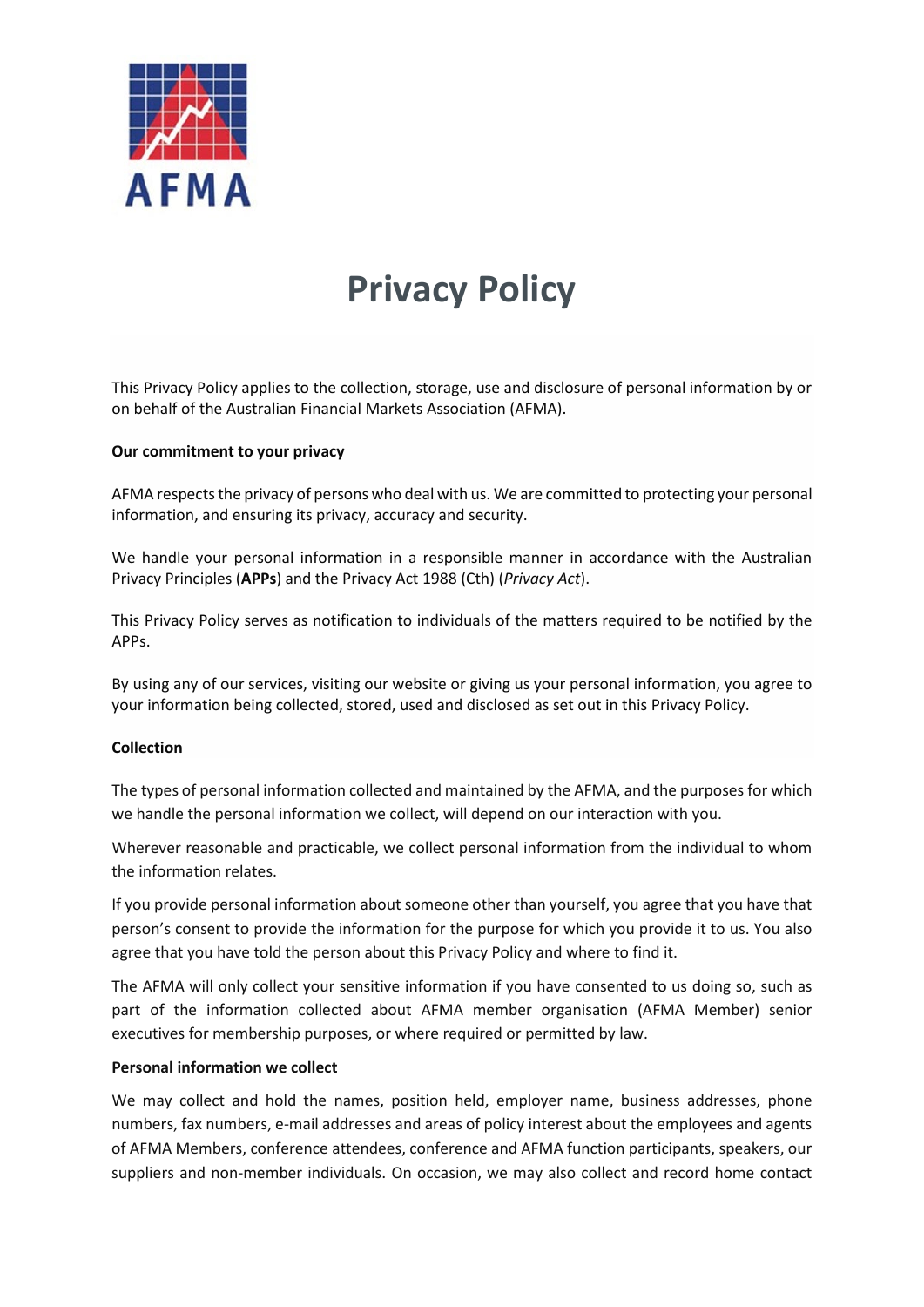

# **Privacy Policy**

This Privacy Policy applies to the collection, storage, use and disclosure of personal information by or on behalf of the Australian Financial Markets Association (AFMA).

### **Our commitment to your privacy**

AFMA respects the privacy of persons who deal with us. We are committed to protecting your personal information, and ensuring its privacy, accuracy and security.

We handle your personal information in a responsible manner in accordance with the Australian Privacy Principles (**APPs**) and the Privacy Act 1988 (Cth) (*Privacy Act*).

This Privacy Policy serves as notification to individuals of the matters required to be notified by the APPs.

By using any of our services, visiting our website or giving us your personal information, you agree to your information being collected, stored, used and disclosed as set out in this Privacy Policy.

### **Collection**

The types of personal information collected and maintained by the AFMA, and the purposes for which we handle the personal information we collect, will depend on our interaction with you.

Wherever reasonable and practicable, we collect personal information from the individual to whom the information relates.

If you provide personal information about someone other than yourself, you agree that you have that person's consent to provide the information for the purpose for which you provide it to us. You also agree that you have told the person about this Privacy Policy and where to find it.

The AFMA will only collect your sensitive information if you have consented to us doing so, such as part of the information collected about AFMA member organisation (AFMA Member) senior executives for membership purposes, or where required or permitted by law.

### **Personal information we collect**

We may collect and hold the names, position held, employer name, business addresses, phone numbers, fax numbers, e-mail addresses and areas of policy interest about the employees and agents of AFMA Members, conference attendees, conference and AFMA function participants, speakers, our suppliers and non-member individuals. On occasion, we may also collect and record home contact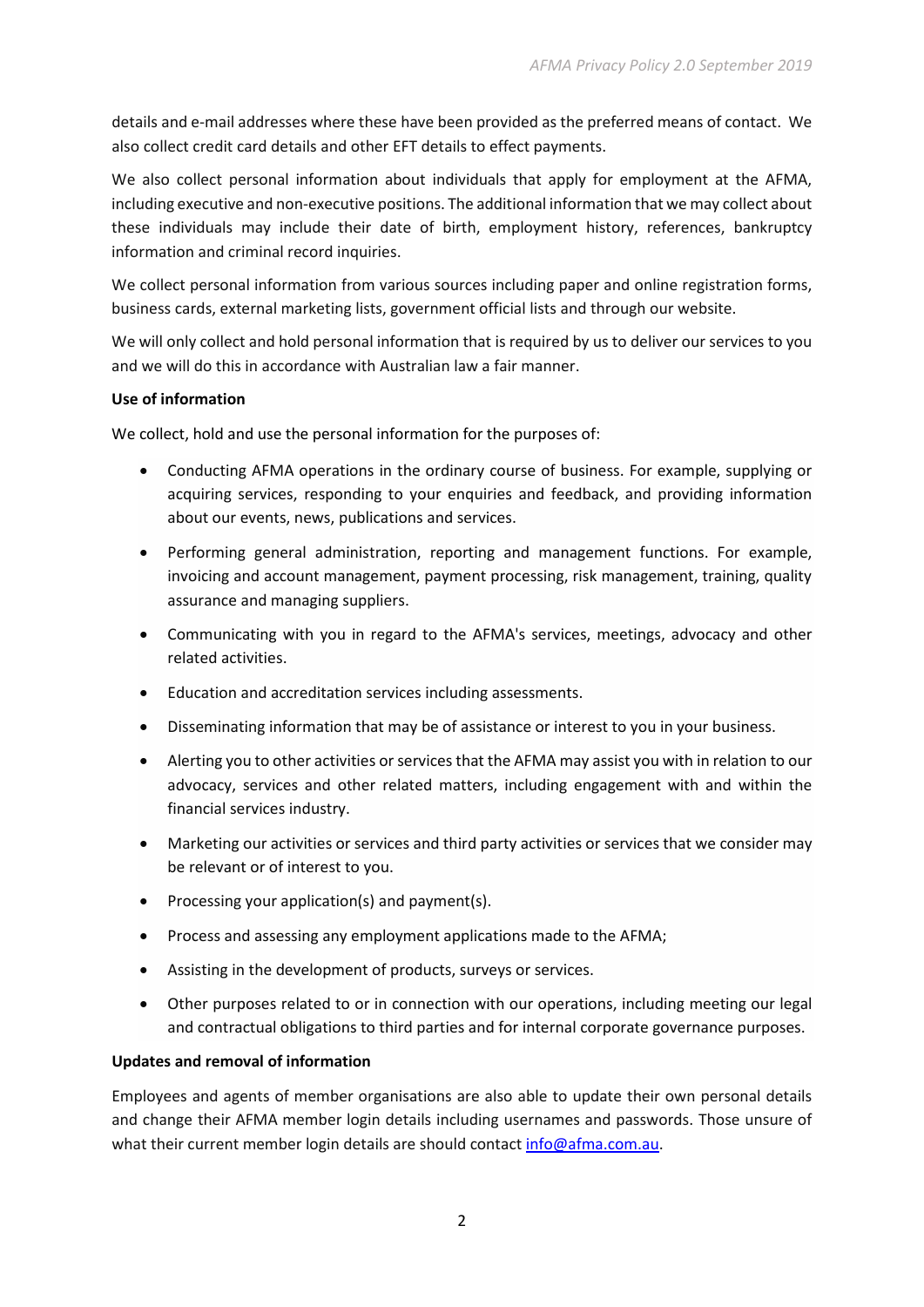details and e-mail addresses where these have been provided as the preferred means of contact. We also collect credit card details and other EFT details to effect payments.

We also collect personal information about individuals that apply for employment at the AFMA, including executive and non-executive positions. The additional information that we may collect about these individuals may include their date of birth, employment history, references, bankruptcy information and criminal record inquiries.

We collect personal information from various sources including paper and online registration forms, business cards, external marketing lists, government official lists and through our website.

We will only collect and hold personal information that is required by us to deliver our services to you and we will do this in accordance with Australian law a fair manner.

# **Use of information**

We collect, hold and use the personal information for the purposes of:

- Conducting AFMA operations in the ordinary course of business. For example, supplying or acquiring services, responding to your enquiries and feedback, and providing information about our events, news, publications and services.
- Performing general administration, reporting and management functions. For example, invoicing and account management, payment processing, risk management, training, quality assurance and managing suppliers.
- Communicating with you in regard to the AFMA's services, meetings, advocacy and other related activities.
- Education and accreditation services including assessments.
- Disseminating information that may be of assistance or interest to you in your business.
- Alerting you to other activities or services that the AFMA may assist you with in relation to our advocacy, services and other related matters, including engagement with and within the financial services industry.
- Marketing our activities or services and third party activities or services that we consider may be relevant or of interest to you.
- Processing your application(s) and payment(s).
- Process and assessing any employment applications made to the AFMA;
- Assisting in the development of products, surveys or services.
- Other purposes related to or in connection with our operations, including meeting our legal and contractual obligations to third parties and for internal corporate governance purposes.

# **Updates and removal of information**

Employees and agents of member organisations are also able to update their own personal details and change their AFMA member login details including usernames and passwords. Those unsure of what their current member login details are should contact [info@afma.com.au.](mailto:info@afma.com.au)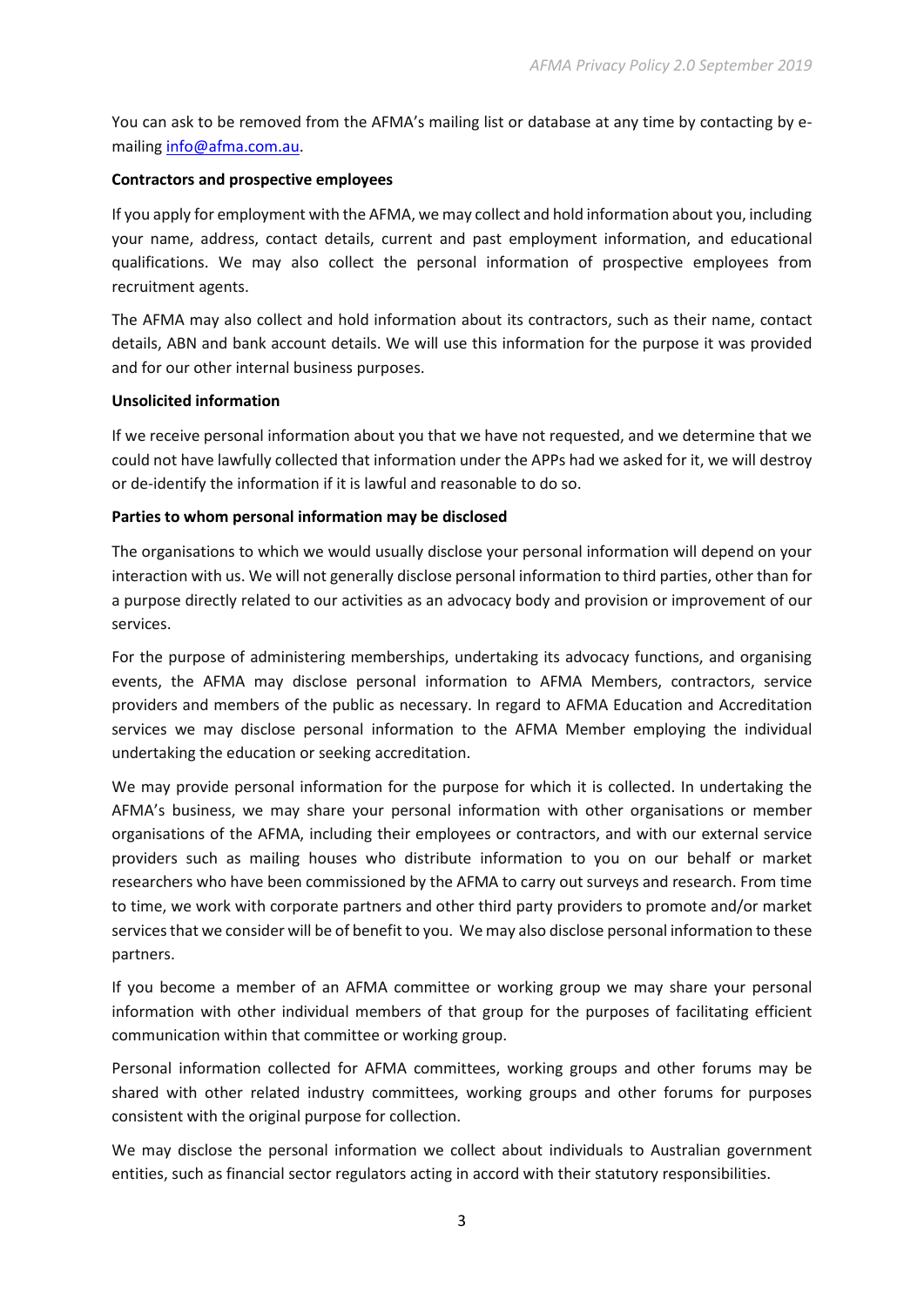You can ask to be removed from the AFMA's mailing list or database at any time by contacting by emailing [info@afma.com.au.](mailto:info@afma.com.au)

# **Contractors and prospective employees**

If you apply for employment with the AFMA, we may collect and hold information about you, including your name, address, contact details, current and past employment information, and educational qualifications. We may also collect the personal information of prospective employees from recruitment agents.

The AFMA may also collect and hold information about its contractors, such as their name, contact details, ABN and bank account details. We will use this information for the purpose it was provided and for our other internal business purposes.

# **Unsolicited information**

If we receive personal information about you that we have not requested, and we determine that we could not have lawfully collected that information under the APPs had we asked for it, we will destroy or de-identify the information if it is lawful and reasonable to do so.

# **Parties to whom personal information may be disclosed**

The organisations to which we would usually disclose your personal information will depend on your interaction with us. We will not generally disclose personal information to third parties, other than for a purpose directly related to our activities as an advocacy body and provision or improvement of our services.

For the purpose of administering memberships, undertaking its advocacy functions, and organising events, the AFMA may disclose personal information to AFMA Members, contractors, service providers and members of the public as necessary. In regard to AFMA Education and Accreditation services we may disclose personal information to the AFMA Member employing the individual undertaking the education or seeking accreditation.

We may provide personal information for the purpose for which it is collected. In undertaking the AFMA's business, we may share your personal information with other organisations or member organisations of the AFMA, including their employees or contractors, and with our external service providers such as mailing houses who distribute information to you on our behalf or market researchers who have been commissioned by the AFMA to carry out surveys and research. From time to time, we work with corporate partners and other third party providers to promote and/or market services that we consider will be of benefit to you. We may also disclose personal information to these partners.

If you become a member of an AFMA committee or working group we may share your personal information with other individual members of that group for the purposes of facilitating efficient communication within that committee or working group.

Personal information collected for AFMA committees, working groups and other forums may be shared with other related industry committees, working groups and other forums for purposes consistent with the original purpose for collection.

We may disclose the personal information we collect about individuals to Australian government entities, such as financial sector regulators acting in accord with their statutory responsibilities.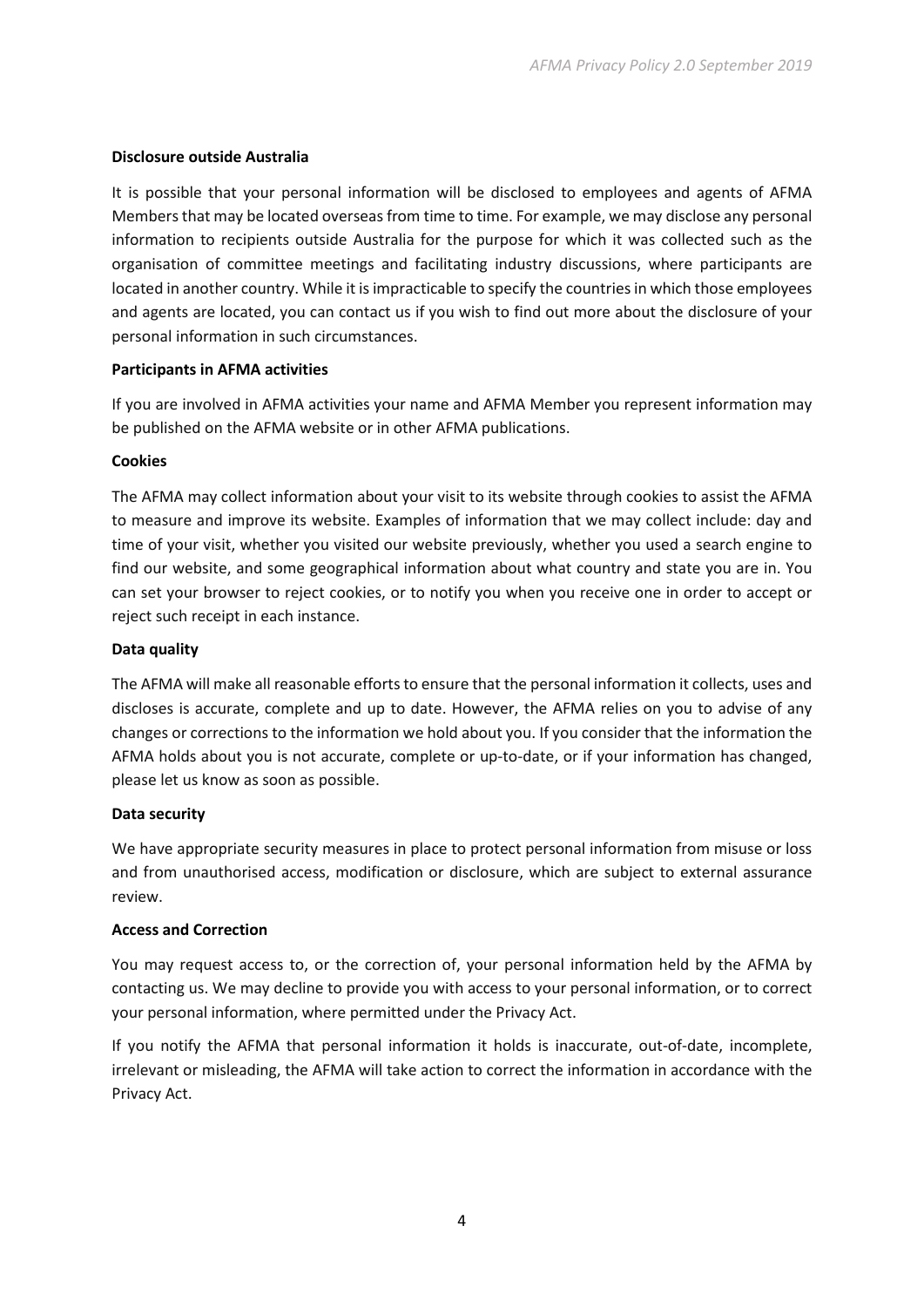# **Disclosure outside Australia**

It is possible that your personal information will be disclosed to employees and agents of AFMA Members that may be located overseas from time to time. For example, we may disclose any personal information to recipients outside Australia for the purpose for which it was collected such as the organisation of committee meetings and facilitating industry discussions, where participants are located in another country. While it is impracticable to specify the countries in which those employees and agents are located, you can contact us if you wish to find out more about the disclosure of your personal information in such circumstances.

# **Participants in AFMA activities**

If you are involved in AFMA activities your name and AFMA Member you represent information may be published on the AFMA website or in other AFMA publications.

# **Cookies**

The AFMA may collect information about your visit to its website through cookies to assist the AFMA to measure and improve its website. Examples of information that we may collect include: day and time of your visit, whether you visited our website previously, whether you used a search engine to find our website, and some geographical information about what country and state you are in. You can set your browser to reject cookies, or to notify you when you receive one in order to accept or reject such receipt in each instance.

# **Data quality**

The AFMA will make all reasonable efforts to ensure that the personal information it collects, uses and discloses is accurate, complete and up to date. However, the AFMA relies on you to advise of any changes or corrections to the information we hold about you. If you consider that the information the AFMA holds about you is not accurate, complete or up-to-date, or if your information has changed, please let us know as soon as possible.

# **Data security**

We have appropriate security measures in place to protect personal information from misuse or loss and from unauthorised access, modification or disclosure, which are subject to external assurance review.

# **Access and Correction**

You may request access to, or the correction of, your personal information held by the AFMA by contacting us. We may decline to provide you with access to your personal information, or to correct your personal information, where permitted under the Privacy Act.

If you notify the AFMA that personal information it holds is inaccurate, out-of-date, incomplete, irrelevant or misleading, the AFMA will take action to correct the information in accordance with the Privacy Act.